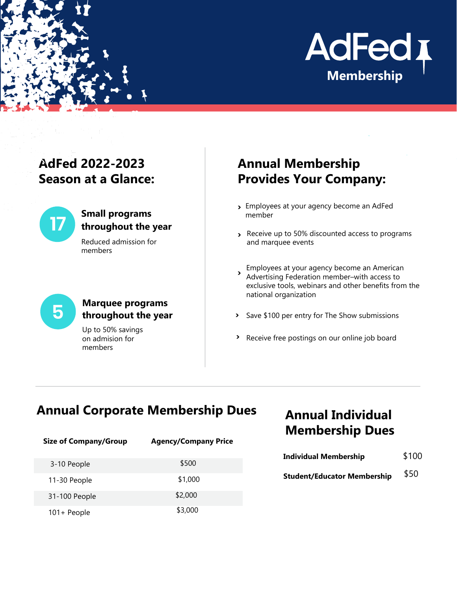

# **AdFed 2022-2023 Season at a Glance:**



#### **Small programs throughout the year**

Reduced admission for members

# **5**

#### **Marquee programs throughout the year**

Up to 50% savings on admision for members

# **Annual Membership Provides Your Company:**

- Employees at your agency become an AdFed **>** member
- Receive up to 50% discounted access to programs **>** and marquee events

Employees at your agency become an American Advertising Federation member–with access to exclusive tools, webinars and other benefits from the national organization **>**

- Save \$100 per entry for The Show submissions **>**
- Receive free postings on our online job board **>**

# **Annual Corporate Membership Dues**

| <b>Size of Company/Group</b> | <b>Agency/Company Price</b> |
|------------------------------|-----------------------------|
| 3-10 People                  | \$500                       |
| 11-30 People                 | \$1,000                     |
| 31-100 People                | \$2,000                     |
| 101+ People                  | \$3,000                     |

# **Annual Individual Membership Dues**

| <b>Individual Membership</b>       | \$100 |
|------------------------------------|-------|
| <b>Student/Educator Membership</b> | \$50  |